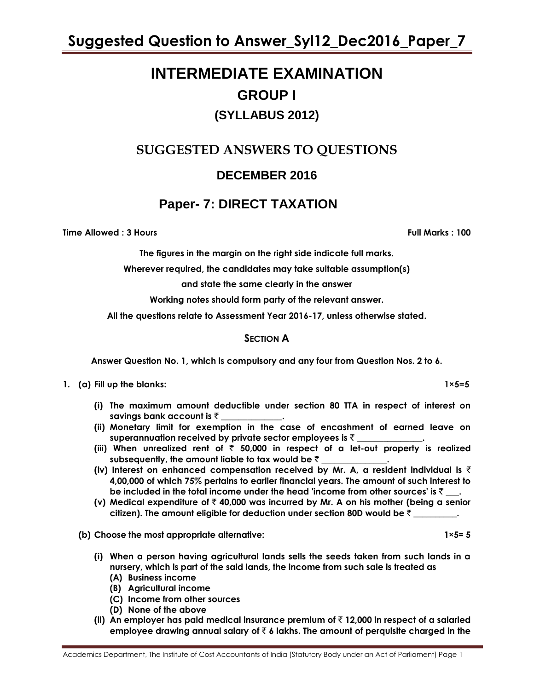# **INTERMEDIATE EXAMINATION GROUP I (SYLLABUS 2012)**

# **SUGGESTED ANSWERS TO QUESTIONS**

## **DECEMBER 2016**

## **Paper- 7: DIRECT TAXATION**

**Time Allowed : 3 Hours Full Marks : 100**

**The figures in the margin on the right side indicate full marks.**

**Wherever required, the candidates may take suitable assumption(s)**

**and state the same clearly in the answer**

**Working notes should form party of the relevant answer.**

**All the questions relate to Assessment Year 2016-17, unless otherwise stated.**

## **SECTION A**

**Answer Question No. 1, which is compulsory and any four from Question Nos. 2 to 6.**

**1. (a) Fill up the blanks: 1×5=5**

- **(i) The maximum amount deductible under section 80 TTA in respect of interest on savings bank account is** ` **\_\_\_\_\_\_\_\_\_\_\_\_\_\_.**
- **(ii) Monetary limit for exemption in the case of encashment of earned leave on superannuation received by private sector employees is** ` **\_\_\_\_\_\_\_\_\_\_\_\_\_\_\_.**
- (iii) When unrealized rent of  $\bar{\tau}$  50,000 in respect of a let-out property is realized subsequently, the amount liable to tax would be ₹
- **(iv) Interest on enhanced compensation received by Mr. A, a resident individual is** ` **4,00,000 of which 75% pertains to earlier financial years. The amount of such interest to be included in the total income under the head 'income from other sources' is ₹\_\_\_.**
- **(v) Medical expenditure of** ` **40,000 was incurred by Mr. A on his mother (being a senior citizen). The amount eligible for deduction under section 80D would be** ` **\_\_\_\_\_\_\_\_\_\_.**

**(b)** Choose the most appropriate alternative: 1×5= 5

- **(i) When a person having agricultural lands sells the seeds taken from such lands in a nursery, which is part of the said lands, the income from such sale is treated as**
	- **(A) Business income**
	- **(B) Agricultural income**
	- **(C) Income from other sources**
	- **(D) None of the above**
- **(ii) An employer has paid medical insurance premium of** ` **12,000 in respect of a salaried employee drawing annual salary of** ` **6 lakhs. The amount of perquisite charged in the**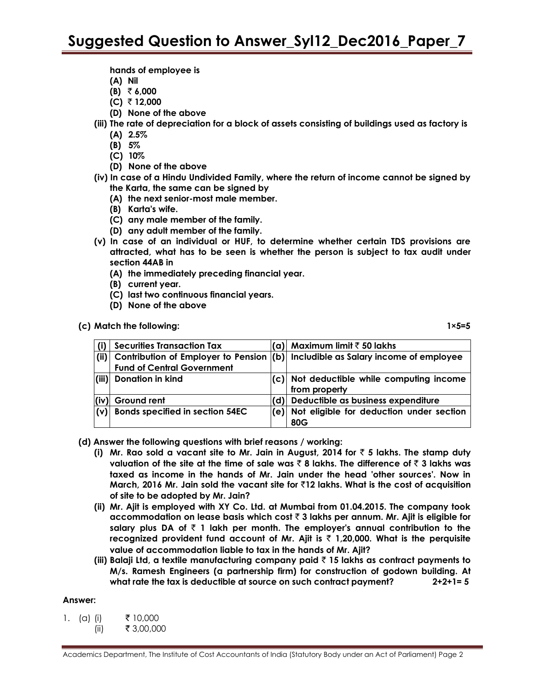**hands of employee is**

- **(A) Nil**
- **(B)** ` **6,000**
- **(C)** ` **12,000**
- **(D) None of the above**
- **(iii) The rate of depreciation for a block of assets consisting of buildings used as factory is**
	- **(A) 2.5%**
	- **(B) 5%**
	- **(C) 10%**
	- **(D) None of the above**
- **(iv) In case of a Hindu Undivided Family, where the return of income cannot be signed by the Karta, the same can be signed by**
	- **(A) the next senior-most male member.**
	- **(B) Karta's wife.**
	- **(C) any male member of the family.**
	- **(D) any adult member of the family.**
- **(v) In case of an individual or HUF, to determine whether certain TDS provisions are attracted, what has to be seen is whether the person is subject to tax audit under section 44AB in**
	- **(A) the immediately preceding financial year.**
	- **(B) current year.**
	- **(C) last two continuous financial years.**
	- **(D) None of the above**

**(c) Match the following: 1×5=5**

|                 | <b>Securities Transaction Tax</b>      |     | (a)  Maximum limit ₹ 50 lakhs                                                   |
|-----------------|----------------------------------------|-----|---------------------------------------------------------------------------------|
| (ii)            |                                        |     | Contribution of Employer to Pension (b) Includible as Salary income of employee |
|                 | <b>Fund of Central Government</b>      |     |                                                                                 |
|                 | (iii) Donation in kind                 |     | (c) Not deductible while computing income                                       |
|                 |                                        |     | from property                                                                   |
| (iv)            | Ground rent                            | (d) | Deductible as business expenditure                                              |
| $\mathsf{I}(v)$ | <b>Bonds specified in section 54EC</b> | (e) | Not eligible for deduction under section                                        |
|                 |                                        |     | 80G                                                                             |

- **(d) Answer the following questions with brief reasons / working:**
	- **(i) Mr. Rao sold a vacant site to Mr. Jain in August, 2014 for** ` **5 lakhs. The stamp duty valuation of the site at the time of sale was ₹ 8 lakhs. The difference of ₹ 3 lakhs was taxed as income in the hands of Mr. Jain under the head 'other sources'. Now in March, 2016 Mr. Jain sold the vacant site for** `**12 lakhs. What is the cost of acquisition of site to be adopted by Mr. Jain?**
	- **(ii) Mr. Ajit is employed with XY Co. Ltd. at Mumbai from 01.04.2015. The company took accommodation on lease basis which cost** ` **3 lakhs per annum. Mr. Ajit is eligible for salary plus DA of** ` **1 lakh per month. The employer's annual contribution to the recognized provident fund account of Mr. Ajit is** ` **1,20,000. What is the perquisite value of accommodation liable to tax in the hands of Mr. Ajit?**
	- **(iii) Balaji Ltd, a textile manufacturing company paid** ` **15 lakhs as contract payments to M/s. Ramesh Engineers (a partnership firm) for construction of godown building. At what rate the tax is deductible at source on such contract payment? 2+2+1= 5**

#### **Answer:**

| 1. (a) (i) | ₹ 10,000   |
|------------|------------|
| (ii)       | ₹ 3,00,000 |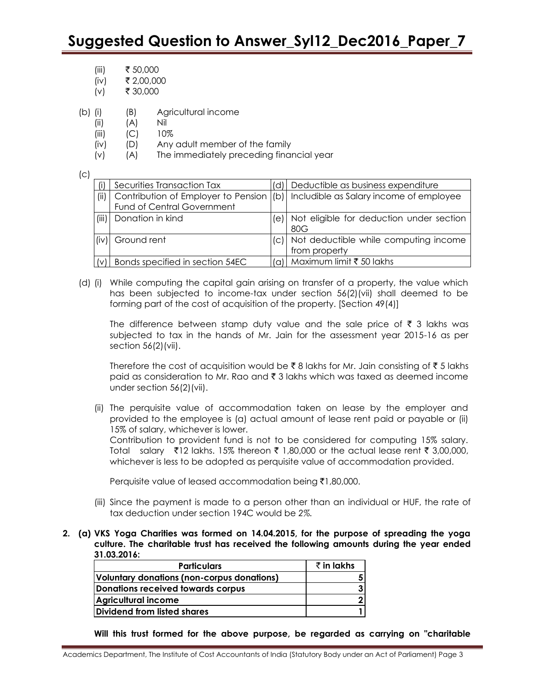- (iii) ₹ 50,000
- $(iv)$  ₹ 2,00,000
- $(v)$  ₹ 30,000
- (b) (i) (B) Agricultural income
	- (ii) (A) Nil
	- (iii) (C) 10%
	- (iv) (D) Any adult member of the family
	- (v) (A) The immediately preceding financial year

(c)

|       | Securities Transaction Tax                                        |     | Deductible as business expenditure                     |
|-------|-------------------------------------------------------------------|-----|--------------------------------------------------------|
| (ii)  | Contribution of Employer to Pension<br>Fund of Central Government | (b) | Includible as Salary income of employee                |
| (iii) | Donation in kind                                                  | le) | Not eligible for deduction under section<br>80G        |
|       | Ground rent                                                       | (C) | Not deductible while computing income<br>from property |
|       | Bonds specified in section 54EC                                   | (a) | Maximum limit ₹ 50 lakhs                               |

(d) (i) While computing the capital gain arising on transfer of a property, the value which has been subjected to income-tax under section 56(2)(vii) shall deemed to be forming part of the cost of acquisition of the property. [Section 49(4)]

The difference between stamp duty value and the sale price of  $\bar{\tau}$  3 lakhs was subjected to tax in the hands of Mr. Jain for the assessment year 2015-16 as per section 56(2)(vii).

Therefore the cost of acquisition would be  $\bar{\xi}$  8 lakhs for Mr. Jain consisting of  $\bar{\xi}$  5 lakhs paid as consideration to Mr. Rao and  $\bar{\tau}$  3 lakhs which was taxed as deemed income under section 56(2)(vii).

(ii) The perquisite value of accommodation taken on lease by the employer and provided to the employee is (a) actual amount of lease rent paid or payable or (ii) 15% of salary, whichever is lower.

Contribution to provident fund is not to be considered for computing 15% salary. Total salary  $\bar{\tau}$ 12 lakhs. 15% thereon  $\bar{\tau}$  1,80,000 or the actual lease rent  $\bar{\tau}$  3,00,000, whichever is less to be adopted as perquisite value of accommodation provided.

Perquisite value of leased accommodation being  $\bar{\tau}1,80,000$ .

- (iii) Since the payment is made to a person other than an individual or HUF, the rate of tax deduction under section 194C would be *2%.*
- **2. (a) VKS Yoga Charities was formed on 14.04.2015, for the purpose of spreading the yoga culture. The charitable trust has received the following amounts during the year ended 31.03.2016:**

| <b>Particulars</b>                         | $\bar{\tau}$ in lakhs |
|--------------------------------------------|-----------------------|
| Voluntary donations (non-corpus donations) |                       |
| Donations received towards corpus          |                       |
| Agricultural income                        |                       |
| Dividend from listed shares                |                       |

**Will this trust formed for the above purpose, be regarded as carrying on "charitable**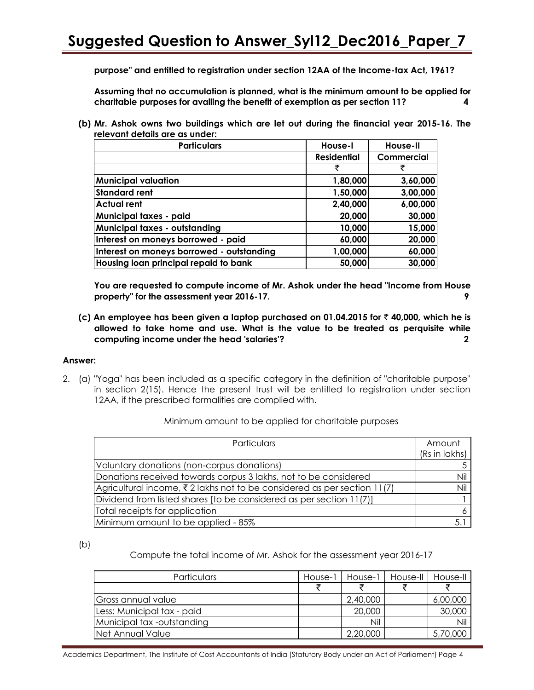**purpose" and entitled to registration under section 12AA of the Income-tax Act, 1961?**

**Assuming that no accumulation is planned, what is the minimum amount to be applied for charitable purposes for availing the benefit of exemption as per section 11? 4**

**(b) Mr. Ashok owns two buildings which are let out during the financial year 2015-16. The relevant details are as under:**

| <b>Particulars</b>                        | House-I            | House-II   |
|-------------------------------------------|--------------------|------------|
|                                           | <b>Residential</b> | Commercial |
|                                           | ₹                  | ₹          |
| <b>Municipal valuation</b>                | 1,80,000           | 3,60,000   |
| <b>Standard rent</b>                      | 1,50,000           | 3,00,000   |
| <b>Actual rent</b>                        | 2,40,000           | 6,00,000   |
| <b>Municipal taxes - paid</b>             | 20,000             | 30,000     |
| <b>Municipal taxes - outstanding</b>      | 10,000             | 15,000     |
| Interest on moneys borrowed - paid        | 60,000             | 20,000     |
| Interest on moneys borrowed - outstanding | 1,00,000           | 60,000     |
| Housing loan principal repaid to bank     | 50,000             | 30,000     |

**You are requested to compute income of Mr. Ashok under the head "Income from House property" for the assessment year 2016-17. 9**

**(c) An employee has been given a laptop purchased on 01.04.2015 for** ` **40,000, which he is allowed to take home and use. What is the value to be treated as perquisite while computing income under the head 'salaries'? 2**

#### **Answer:**

2. (a) "Yoga" has been included as a specific category in the definition of "charitable purpose" in section 2(15). Hence the present trust will be entitled to registration under section 12AA, if the prescribed formalities are complied with.

| Minimum amount to be applied for charitable purposes |  |  |
|------------------------------------------------------|--|--|
|------------------------------------------------------|--|--|

| Particulars                                                             | Amount<br>(Rs in lakhs) |
|-------------------------------------------------------------------------|-------------------------|
| Voluntary donations (non-corpus donations)                              |                         |
| Donations received towards corpus 3 lakhs, not to be considered         | Nil                     |
| Agricultural income, ₹2 lakhs not to be considered as per section 11(7) | Nil                     |
| Dividend from listed shares [to be considered as per section 11(7)]     |                         |
| Total receipts for application                                          |                         |
| Minimum amount to be applied - 85%                                      | 5.                      |

(b)

Compute the total income of Mr. Ashok for the assessment year 2016-17

| Particulars                | House-1 | House-1  | House-II | House-II |
|----------------------------|---------|----------|----------|----------|
|                            |         |          |          |          |
| IGross annual value        |         | 2,40,000 |          | 6,00,000 |
| Less: Municipal tax - paid |         | 20,000   |          | 30,000   |
| Municipal tax -outstanding |         | Nil      |          | Nil      |
| Net Annual Value           |         | 2,20,000 |          | 5,70,000 |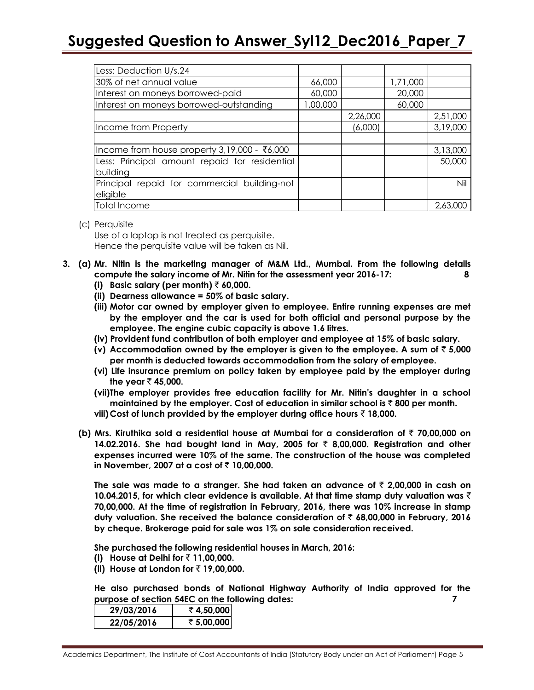| Less: Deduction U/s.24                        |          |          |          |          |
|-----------------------------------------------|----------|----------|----------|----------|
| 30% of net annual value                       | 66,000   |          | 1,71,000 |          |
| Interest on moneys borrowed-paid              | 60,000   |          | 20,000   |          |
| Interest on moneys borrowed-outstanding       | 1,00,000 |          | 60,000   |          |
|                                               |          | 2,26,000 |          | 2,51,000 |
| Income from Property                          |          | (6,000)  |          | 3,19,000 |
|                                               |          |          |          |          |
| Income from house property 3,19,000 - ₹6,000  |          |          |          | 3,13,000 |
| Less: Principal amount repaid for residential |          |          |          | 50,000   |
| building                                      |          |          |          |          |
| Principal repaid for commercial building-not  |          |          |          | Nil      |
| eligible                                      |          |          |          |          |
| <b>Total Income</b>                           |          |          |          | 2,63,000 |

#### (c) Perquisite

Use of a laptop is not treated as perquisite. Hence the perquisite value will be taken as Nil.

- **3. (a) Mr. Nitin is the marketing manager of M&M Ltd., Mumbai. From the following details compute the salary income of Mr. Nitin for the assessment year 2016-17: 8**
	- **(i)** Basic salary (per month)  $\bar{\tau}$  60,000.
	- **(ii) Dearness allowance = 50% of basic salary.**
	- **(iii) Motor car owned by employer given to employee. Entire running expenses are met by the employer and the car is used for both official and personal purpose by the employee. The engine cubic capacity is above 1.6 litres.**
	- **(iv) Provident fund contribution of both employer and employee at 15% of basic salary.**
	- **(v)** Accommodation owned by the employer is given to the employee. A sum of  $\bar{z}$  5,000 **per month is deducted towards accommodation from the salary of employee.**
	- **(vi) Life insurance premium on policy taken by employee paid by the employer during the year** ` **45,000.**
	- **(vii)The employer provides free education facility for Mr. Nitin's daughter in a school maintained by the employer. Cost of education in similar school is** ` **800 per month.**
	- **viii)Cost of lunch provided by the employer during office hours** ` **18,000.**
	- **(b) Mrs. Kiruthika sold a residential house at Mumbai for a consideration of** ` **70,00,000 on 14.02.2016. She had bought land in May, 2005 for** ` **8,00,000. Registration and other expenses incurred were 10% of the same. The construction of the house was completed in November, 2007 at a cost of** ` **10,00,000.**

The sale was made to a stranger. She had taken an advance of  $\bar{\tau}$  2,00,000 in cash on **10.04.2015, for which clear evidence is available. At that time stamp duty valuation was** ` **70,00,000. At the time of registration in February, 2016, there was 10% increase in stamp duty valuation. She received the balance consideration of** ` **68,00,000 in February, 2016 by cheque. Brokerage paid for sale was 1% on sale consideration received.**

**She purchased the following residential houses in March, 2016:**

- **(i) House at Delhi for** ` **11,00,000.**
- **(ii) House at London for** ` **19,00,000.**

**He also purchased bonds of National Highway Authority of India approved for the purpose of section 54EC on the following dates: 7**

| 29/03/2016 | ₹4,50,000  |
|------------|------------|
| 22/05/2016 | ₹ 5,00,000 |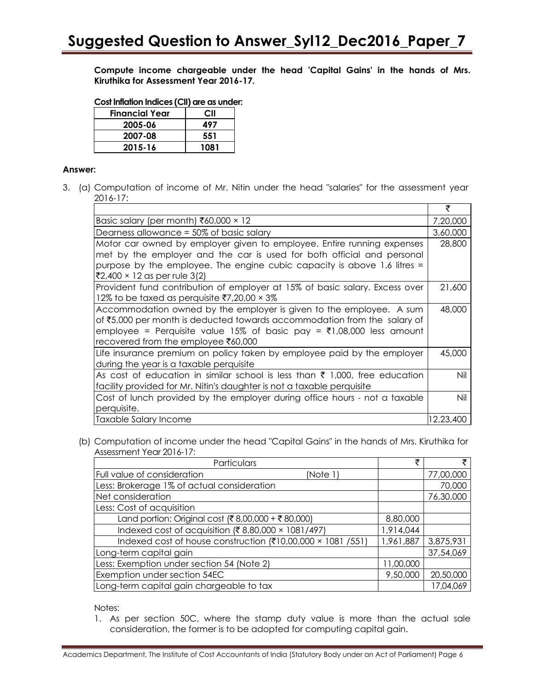**Compute income chargeable under the head 'Capital Gains' in the hands of Mrs. Kiruthika for Assessment Year 2016-17.**

| <b>Financial Year</b> | СII  |
|-----------------------|------|
| 2005-06               | 497  |
| 2007-08               | 551  |
| 2015-16               | 1081 |

#### **Answer:**

3. (a) Computation of income of Mr. Nitin under the head "salaries" for the assessment year 2016-17:

|                                                                                                                                                                                                                                                                | ₹         |
|----------------------------------------------------------------------------------------------------------------------------------------------------------------------------------------------------------------------------------------------------------------|-----------|
| Basic salary (per month) ₹60,000 $\times$ 12                                                                                                                                                                                                                   | 7,20,000  |
| Dearness allowance $=$ 50% of basic salary                                                                                                                                                                                                                     | 3,60,000  |
| Motor car owned by employer given to employee. Entire running expenses<br>met by the employer and the car is used for both official and personal<br>purpose by the employee. The engine cubic capacity is above 1.6 litres =<br>₹2,400 × 12 as per rule 3(2)   | 28,800    |
| Provident fund contribution of employer at 15% of basic salary. Excess over<br>12% to be taxed as perquisite $7,20,00 \times 3\%$                                                                                                                              | 21,600    |
| Accommodation owned by the employer is given to the employee. A sum<br>of ₹5,000 per month is deducted towards accommodation from the salary of<br>employee = Perquisite value 15% of basic pay = ₹1,08,000 less amount<br>recovered from the employee ₹60,000 | 48,000    |
| Life insurance premium on policy taken by employee paid by the employer<br>during the year is a taxable perquisite                                                                                                                                             | 45,000    |
| As cost of education in similar school is less than $\bar{\tau}$ 1,000, free education<br>facility provided for Mr. Nitin's daughter is not a taxable perquisite                                                                                               | Nil       |
| Cost of lunch provided by the employer during office hours - not a taxable<br>perquisite.                                                                                                                                                                      | Nil       |
| Taxable Salary Income                                                                                                                                                                                                                                          | 12,23,400 |

(b) Computation of income under the head "Capital Gains" in the hands of Mrs. Kiruthika for Assessment Year 2016-17:

| Particulars                                                 | ₹         |           |
|-------------------------------------------------------------|-----------|-----------|
| Full value of consideration<br>(Note 1)                     |           | 77,00,000 |
| Less: Brokerage 1% of actual consideration                  |           | 70,000    |
| Net consideration                                           |           | 76,30,000 |
| Less: Cost of acquisition                                   |           |           |
| Land portion: Original cost (₹8,00,000 + ₹80,000)           | 8,80,000  |           |
| Indexed cost of acquisition (₹8,80,000 × 1081/497)          | 1,914,044 |           |
| Indexed cost of house construction (₹10,00,000 × 1081 /551) | 1,961,887 | 3,875,931 |
| Long-term capital gain                                      |           | 37,54,069 |
| Less: Exemption under section 54 (Note 2)                   | 11,00,000 |           |
| Exemption under section 54EC                                | 9,50,000  | 20,50,000 |
| Long-term capital gain chargeable to tax                    |           | 17,04,069 |

Notes:

1. As per section 50C, where the stamp duty value is more than the actual sale consideration, the former is to be adopted for computing capital gain.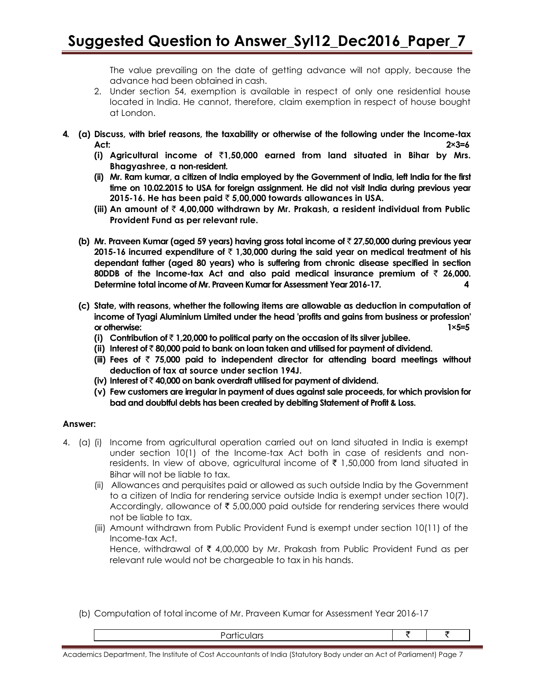The value prevailing on the date of getting advance will not apply, because the advance had been obtained in cash.

- 2. Under section 54, exemption is available in respect of only one residential house located in India. He cannot, therefore, claim exemption in respect of house bought at London.
- **4. (a) Discuss, with brief reasons, the taxability or otherwise of the following under the Income-tax Act: 2×3=6**
	- **(i) Agricultural income of** `**1,50,000 earned from land situated in Bihar by Mrs. Bhagyashree, a non-resident.**
	- **(ii) Mr. Ram kumar, a citizen of India employed by the Government of India, left India for the first time on 10.02.2015 to USA for foreign assignment. He did not visit India during previous year 2015-16. He has been paid** ` **5,00,000 towards allowances in USA.**
	- **(iii) An amount of** ` **4,00,000 withdrawn by Mr. Prakash, a resident individual from Public Provident Fund as per relevant rule.**
	- **(b) Mr. Praveen Kumar (aged 59 years) having gross total income of** ` **27,50,000 during previous year 2015-16 incurred expenditure of** ` **1,30,000 during the said year on medical treatment of his dependant father (aged 80 years) who is suffering from chronic disease specified in section 80DDB of the Income-tax Act and also paid medical insurance premium of** ` **26,000. Determine total income of Mr. Praveen Kumar for Assessment Year 2016-17. 4**
	- **(c) State, with reasons, whether the following items are allowable as deduction in computation of income of Tyagi Aluminium Limited under the head 'profits and gains from business or profession' or otherwise:** 1×5=5
		- **(i) Contribution of** ` **1,20,000 to political party on the occasion of its silver jubilee.**
		- **(ii) Interest of** ` **80,000 paid to bank on loan taken and utilised for payment of dividend.**
		- **(iii) Fees of** ` **75,000 paid to independent director for attending board meetings without deduction of tax at source under section 194J.**
		- **(iv) Interest of** ` **40,000 on bank overdraft utilised for payment of dividend.**
		- **(v) Few customers are irregular in payment of dues against sale proceeds, for which provision for bad and doubtful debts has been created by debiting Statement of Profit & Loss.**

### **Answer:**

- 4. (a) (i) Income from agricultural operation carried out on land situated in India is exempt under section 10(1) of the Income-tax Act both in case of residents and nonresidents. In view of above, agricultural income of  $\bar{\tau}$  1,50,000 from land situated in Bihar will not be liable to tax.
	- (ii) Allowances and perquisites paid or allowed as such outside India by the Government to a citizen of India for rendering service outside India is exempt under section 10(7). Accordingly, allowance of  $\bar{\tau}$  5,00,000 paid outside for rendering services there would not be liable to tax.
	- (iii) Amount withdrawn from Public Provident Fund is exempt under section 10(11) of the Income-tax Act. Hence, withdrawal of  $\bar{\tau}$  4,00,000 by Mr. Prakash from Public Provident Fund as per relevant rule would not be chargeable to tax in his hands.
	- (b) Computation of total income of Mr. Praveen Kumar for Assessment Year 2016-17

Academics Department, The Institute of Cost Accountants of India (Statutory Body under an Act of Parliament) Page 7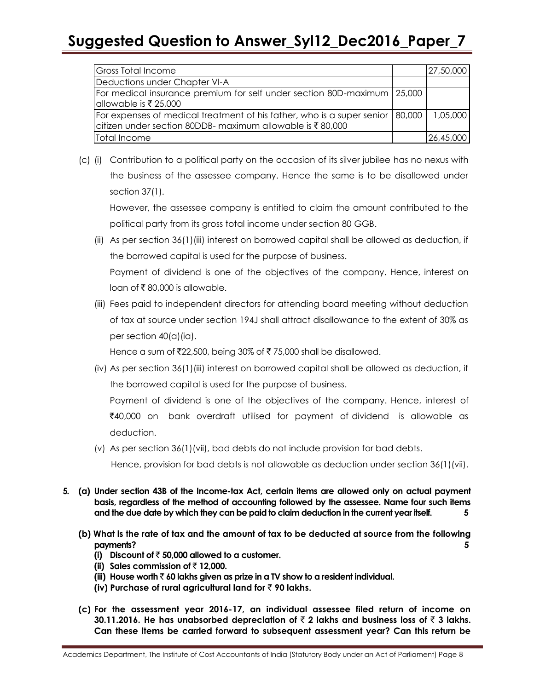| Gross Total Income                                                              | 27,50,000 |
|---------------------------------------------------------------------------------|-----------|
| Deductions under Chapter VI-A                                                   |           |
| For medical insurance premium for self under section 80D-maximum   25,000       |           |
| $\alpha$ lallowable is ₹ 25,000                                                 |           |
| For expenses of medical treatment of his father, who is a super senior   80,000 | 1,05,000  |
| citizen under section 80DDB- maximum allowable is ₹80,000                       |           |
| Total Income                                                                    | 26,45,000 |

(c) (i) Contribution to a political party on the occasion of its silver jubilee has no nexus with the business of the assessee company. Hence the same is to be disallowed under section 37(1).

However, the assessee company is entitled to claim the amount contributed to the political party from its gross total income under section 80 GGB.

(ii) As per section 36(1)(iii) interest on borrowed capital shall be allowed as deduction, if the borrowed capital is used for the purpose of business.

Payment of dividend is one of the objectives of the company. Hence, interest on loan of  $\bar{\bar{\mathcal{E}}}$  80,000 is allowable.

(iii) Fees paid to independent directors for attending board meeting without deduction of tax at source under section 194J shall attract disallowance to the extent of 30% as per section 40(a)(ia).

Hence a sum of  $\text{\textsf{722,500}}$ , being 30% of  $\text{\textsf{7}} 75,000$  shall be disallowed.

(iv) As per section 36(1)(iii) interest on borrowed capital shall be allowed as deduction, if the borrowed capital is used for the purpose of business.

Payment of dividend is one of the objectives of the company. Hence, interest of  $\bar{z}$ 40,000 on bank overdraft utilised for payment of dividend is allowable as deduction.

(v) As per section 36(1)(vii), bad debts do not include provision for bad debts.

Hence, provision for bad debts is not allowable as deduction under section 36(1)(vii).

- **5. (a) Under section 43B of the Income-tax Act, certain items are allowed only on actual payment basis, regardless of the method of accounting followed by the assessee. Name four such items and the due date by which they can be paid to claim deduction in the current year itself. 5**
	- **(b) What is the rate of tax and the amount of tax to be deducted at source from the following payments? 5**
		- **(i)** Discount of  $\bar{z}$  50,000 allowed to a customer.
		- **(ii) Sales commission of** ` **12,000.**
		- **(iii) House worth** ` **60 lakhs given as prize in a TV show to a resident individual.**
		- **(iv) Purchase of rural agricultural land for** ` **90 lakhs.**
	- **(c) For the assessment year 2016-17, an individual assessee filed return of income on 30.11.2016. He has unabsorbed depreciation of** ` **2 lakhs and business loss of** ` **3 lakhs. Can these items be carried forward to subsequent assessment year? Can this return be**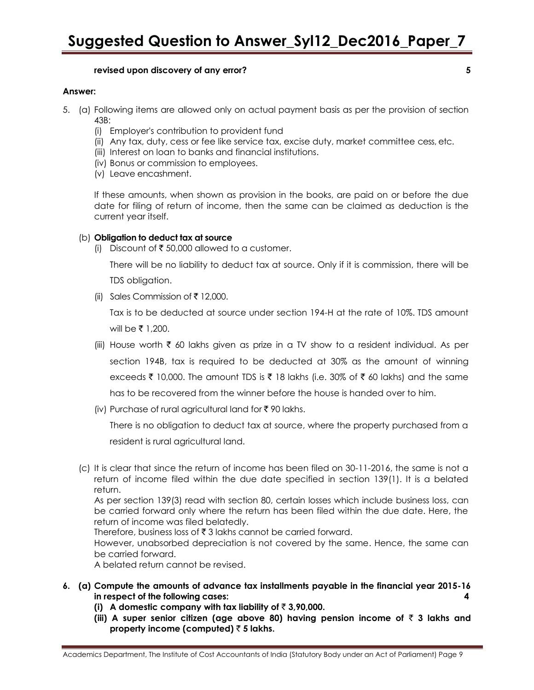### **revised upon discovery of any error? 5**

#### **Answer:**

- 5. (a) Following items are allowed only on actual payment basis as per the provision of section 43B:
	- (i) Employer's contribution to provident fund
	- (ii) Any tax, duty, cess or fee like service tax, excise duty, market committee cess, etc.
	- (iii) Interest on loan to banks and financial institutions.
	- (iv) Bonus or commission to employees.
	- (v) Leave encashment.

If these amounts, when shown as provision in the books, are paid on or before the due date for filing of return of income, then the same can be claimed as deduction is the current year itself.

#### (b) **Obligation to deduct tax at source**

(i) Discount of  $\bar{\tau}$  50,000 allowed to a customer.

There will be no liability to deduct tax at source. Only if it is commission, there will be TDS obligation.

(ii) Sales Commission of  $\bar{\tau}$  12,000.

Tax is to be deducted at source under section 194-H at the rate of 10%. TDS amount will be  $\bar{z}$  1,200.

- (iii) House worth  $\bar{\tau}$  60 lakhs given as prize in a TV show to a resident individual. As per section 194B, tax is required to be deducted at 30% as the amount of winning exceeds  $\bar{\tau}$  10,000. The amount TDS is  $\bar{\tau}$  18 lakhs (i.e. 30% of  $\bar{\tau}$  60 lakhs) and the same has to be recovered from the winner before the house is handed over to him.
- (iv) Purchase of rural agricultural land for  $\bar{\tau}$  90 lakhs.

There is no obligation to deduct tax at source, where the property purchased from a resident is rural agricultural land.

(c) It is clear that since the return of income has been filed on 30-11-2016, the same is not a return of income filed within the due date specified in section 139(1). It is a belated return.

As per section 139(3) read with section 80, certain losses which include business loss, can be carried forward only where the return has been filed within the due date. Here, the return of income was filed belatedly.

Therefore, business loss of  $\bar{\tau}$  3 lakhs cannot be carried forward.

However, unabsorbed depreciation is not covered by the same. Hence, the same can be carried forward.

A belated return cannot be revised.

- **6. (a) Compute the amounts of advance tax installments payable in the financial year 2015-16 in respect of the following cases: 4**
	- **(i)** A domestic company with tax liability of  $\bar{\tau}$  3,90,000.
	- **(iii) A super senior citizen (age above 80) having pension income of** ` **3 lakhs and property income (computed)**  $\bar{z}$  **5 lakhs.**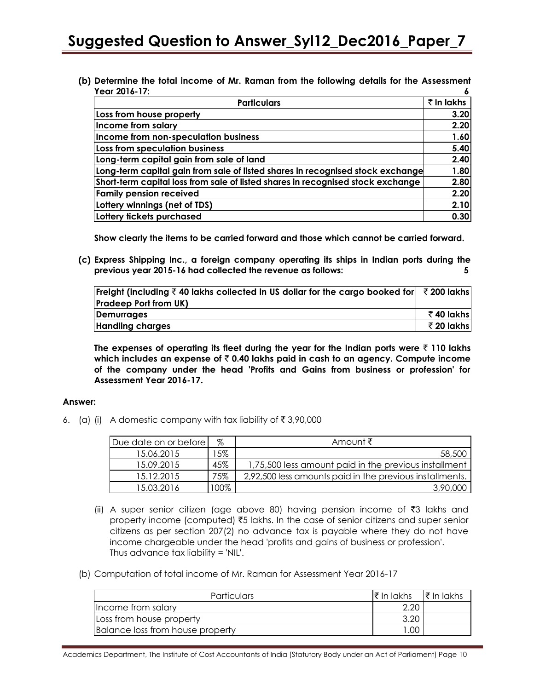**(b) Determine the total income of Mr. Raman from the following details for the Assessment Year 2016-17: 6**

| <b>Particulars</b>                                                              | $\bar{\tau}$ in lakhs |
|---------------------------------------------------------------------------------|-----------------------|
| Loss from house property                                                        | 3.20                  |
| Income from salary                                                              | 2.20                  |
| Income from non-speculation business                                            | 1.60                  |
| Loss from speculation business                                                  | 5.40                  |
| Long-term capital gain from sale of land                                        | 2.40                  |
| Long-term capital gain from sale of listed shares in recognised stock exchange  | 1.80                  |
| Short-term capital loss from sale of listed shares in recognised stock exchange | 2.80                  |
| <b>Family pension received</b>                                                  | 2.20                  |
| Lottery winnings (net of TDS)                                                   | 2.10                  |
| Lottery tickets purchased                                                       | 0.30                  |

**Show clearly the items to be carried forward and those which cannot be carried forward.**

**(c) Express Shipping Inc., a foreign company operating its ships in Indian ports during the previous year 2015-16 had collected the revenue as follows: 5**

| Freight (including $\bar{\tau}$ 40 lakhs collected in US dollar for the cargo booked for  $\bar{\tau}$ 200 lakhs |            |
|------------------------------------------------------------------------------------------------------------------|------------|
| <b>Pradeep Port from UK)</b>                                                                                     |            |
| Demurrages                                                                                                       | ₹40 lakhs  |
| <b>Handling charges</b>                                                                                          | ₹ 20 lakhs |

The expenses of operating its fleet during the year for the Indian ports were  $\bar{\tau}$  110 lakhs **which includes an expense of** ` **0.40 lakhs paid in cash to an agency. Compute income of the company under the head 'Profits and Gains from business or profession' for Assessment Year 2016-17.**

#### **Answer:**

6. (a) (i) A domestic company with tax liability of  $\bar{\tau}$  3,90,000

| Due date on or before | %    | Amount ₹                                                 |
|-----------------------|------|----------------------------------------------------------|
| 15.06.2015            | .5%  | 58,500                                                   |
| 15.09.2015            | 45%  | 1,75,500 less amount paid in the previous installment    |
| 15.12.2015            | 75%  | 2,92,500 less amounts paid in the previous installments. |
| 15.03.2016            | 100% | 3,90,000                                                 |

- (ii) A super senior citizen (age above 80) having pension income of ₹3 lakhs and property income (computed)  $\overline{5}$  lakhs. In the case of senior citizens and super senior citizens as per section 207(2) no advance tax is payable where they do not have income chargeable under the head 'profits and gains of business or profession'. Thus advance tax liability = 'NIL'.
- (b) Computation of total income of Mr. Raman for Assessment Year 2016-17

| <b>Particulars</b>               | ।₹ In lakhs | ।₹ In lakhs |
|----------------------------------|-------------|-------------|
| Income from salary               | 2.20        |             |
| Loss from house property         | 3.20        |             |
| Balance loss from house property | I .OO       |             |

Academics Department, The Institute of Cost Accountants of India (Statutory Body under an Act of Parliament) Page 10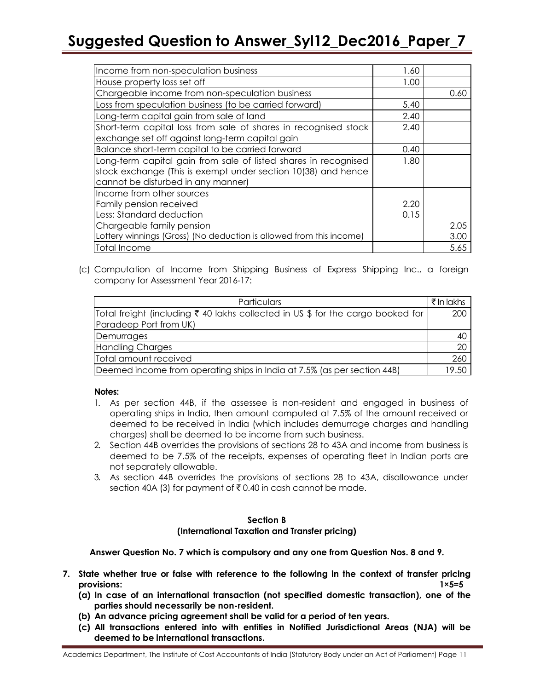| Income from non-speculation business                                                                                                                                   | 1.60 |      |
|------------------------------------------------------------------------------------------------------------------------------------------------------------------------|------|------|
| House property loss set off                                                                                                                                            | 1.00 |      |
| Chargeable income from non-speculation business                                                                                                                        |      | 0.60 |
| Loss from speculation business (to be carried forward)                                                                                                                 | 5.40 |      |
| Long-term capital gain from sale of land                                                                                                                               | 2.40 |      |
| Short-term capital loss from sale of shares in recognised stock<br>exchange set off against long-term capital gain                                                     | 2.40 |      |
| Balance short-term capital to be carried forward                                                                                                                       | 0.40 |      |
| Long-term capital gain from sale of listed shares in recognised<br>stock exchange (This is exempt under section 10(38) and hence<br>cannot be disturbed in any manner) | 1.80 |      |
| Income from other sources                                                                                                                                              |      |      |
| Family pension received                                                                                                                                                | 2.20 |      |
| Less: Standard deduction                                                                                                                                               | 0.15 |      |
| Chargeable family pension                                                                                                                                              |      | 2.05 |
| Lottery winnings (Gross) (No deduction is allowed from this income)                                                                                                    |      | 3.00 |
| Total Income                                                                                                                                                           |      | 5.65 |

(c) Computation of Income from Shipping Business of Express Shipping Inc., a foreign company for Assessment Year 2016-17:

| Particulars                                                                     | ₹ In lakhs |
|---------------------------------------------------------------------------------|------------|
| Total freight (including ₹ 40 lakhs collected in US \$ for the cargo booked for | 200        |
| Paradeep Port from UK)                                                          |            |
| Demurrages                                                                      | 40         |
| Handling Charges                                                                | 20         |
| Total amount received                                                           | 260        |
| Deemed income from operating ships in India at 7.5% (as per section 44B)        | 19.50      |

### **Notes:**

- 1. As per section 44B, if the assessee is non-resident and engaged in business of operating ships in India, then amount computed at 7.5% of the amount received or deemed to be received in India (which includes demurrage charges and handling charges) shall be deemed to be income from such business.
- 2. Section 44B overrides the provisions of sections 28 to 43A and income from business is deemed to be 7.5% of the receipts, expenses of operating fleet in Indian ports are not separately allowable.
- 3. As section 44B overrides the provisions of sections 28 to 43A, disallowance under section 40A (3) for payment of  $\bar{\tau}$  0.40 in cash cannot be made.

#### **Section B (International Taxation and Transfer pricing)**

**Answer Question No. 7 which is compulsory and any one from Question Nos. 8 and 9.**

- **7. State whether true or false with reference to the following in the context of transfer pricing provisions: 1×5=5**
	- **(a) In case of an international transaction (not specified domestic transaction), one of the parties should necessarily be non-resident.**
	- **(b) An advance pricing agreement shall be valid for a period of ten years.**
	- **(c) All transactions entered into with entities in Notified Jurisdictional Areas (NJA) will be deemed to be international transactions.**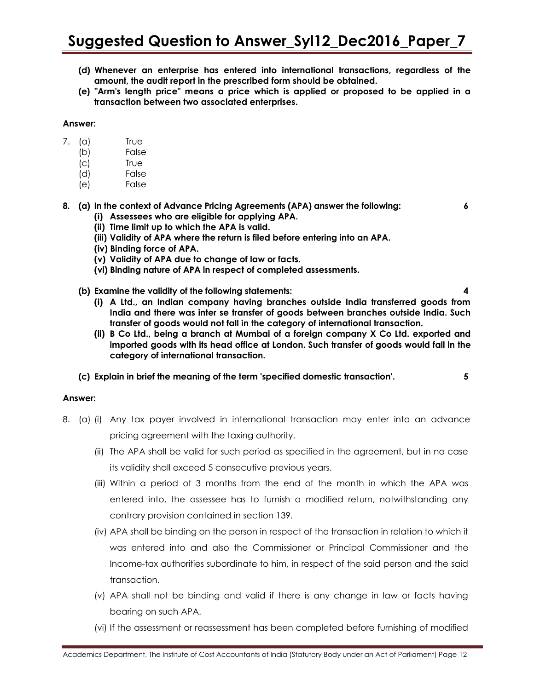- **(d) Whenever an enterprise has entered into international transactions, regardless of the amount, the audit report in the prescribed form should be obtained.**
- **(e) "Arm's length price" means a price which is applied or proposed to be applied in a transaction between two associated enterprises.**

#### **Answer:**

- 7. (a) True
	- (b) False
	- (c) True
	- (d) False
	- (e) False
- **8. (a) In the context of Advance Pricing Agreements (APA) answer the following: 6**
	- **(i) Assessees who are eligible for applying APA.**
	- **(ii) Time limit up to which the APA is valid.**
	- **(iii) Validity of APA where the return is filed before entering into an APA.**
	- **(iv) Binding force of APA.**
	- **(v) Validity of APA due to change of law or facts.**
	- **(vi) Binding nature of APA in respect of completed assessments.**
	- **(b) Examine the validity of the following statements: 4**
		- **(i) A Ltd., an Indian company having branches outside India transferred goods from India and there was inter se transfer of goods between branches outside India. Such transfer of goods would not fall in the category of international transaction.**
		- **(ii) B Co Ltd., being a branch at Mumbai of a foreign company X Co Ltd. exported and imported goods with its head office at London. Such transfer of goods would fall in the category of international transaction.**
	- **(c) Explain in brief the meaning of the term 'specified domestic transaction'. 5**

### **Answer:**

- 8. (a) (i) Any tax payer involved in international transaction may enter into an advance pricing agreement with the taxing authority.
	- (ii) The APA shall be valid for such period as specified in the agreement, but in no case its validity shall exceed 5 consecutive previous years.
	- (iii) Within a period of 3 months from the end of the month in which the APA was entered into, the assessee has to furnish a modified return, notwithstanding any contrary provision contained in section 139.
	- (iv) APA shall be binding on the person in respect of the transaction in relation to which it was entered into and also the Commissioner or Principal Commissioner and the Income-tax authorities subordinate to him, in respect of the said person and the said transaction.
	- (v) APA shall not be binding and valid if there is any change in law or facts having bearing on such APA.
	- (vi) If the assessment or reassessment has been completed before furnishing of modified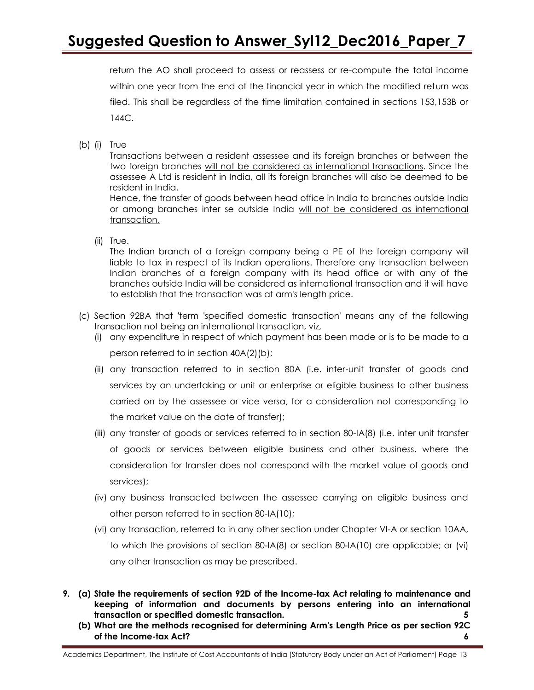return the AO shall proceed to assess or reassess or re-compute the total income within one year from the end of the financial year in which the modified return was filed. This shall be regardless of the time limitation contained in sections 153,153B or 144C.

(b) (i) True

Transactions between a resident assessee and its foreign branches or between the two foreign branches will not be considered as international transactions. Since the assessee A Ltd is resident in India, all its foreign branches will also be deemed to be resident in India.

Hence, the transfer of goods between head office in India to branches outside India or among branches inter se outside India will not be considered as international transaction.

(ii) True.

The Indian branch of a foreign company being a PE of the foreign company will liable to tax in respect of its Indian operations. Therefore any transaction between Indian branches of a foreign company with its head office or with any of the branches outside India will be considered as international transaction and it will have to establish that the transaction was at arm's length price.

- (c) Section 92BA that 'term 'specified domestic transaction' means any of the following transaction not being an international transaction, viz,
	- (i) any expenditure in respect of which payment has been made or is to be made to a person referred to in section 40A(2)(b);
	- (ii) any transaction referred to in section 80A (i.e. inter-unit transfer of goods and services by an undertaking or unit or enterprise or eligible business to other business carried on by the assessee or vice versa, for a consideration not corresponding to the market value on the date of transfer);
	- (iii) any transfer of goods or services referred to in section 80-IA(8) (i.e. inter unit transfer of goods or services between eligible business and other business, where the consideration for transfer does not correspond with the market value of goods and services);
	- (iv) any business transacted between the assessee carrying on eligible business and other person referred to in section 80-IA(10);
	- (vi) any transaction, referred to in any other section under Chapter Vl-A or section 10AA, to which the provisions of section 80-IA(8) or section 80-IA(10) are applicable; or (vi) any other transaction as may be prescribed.
- **9. (a) State the requirements of section 92D of the Income-tax Act relating to maintenance and keeping of information and documents by persons entering into an international transaction or specified domestic transaction. 5**
	- **(b) What are the methods recognised for determining Arm's Length Price as per section 92C of the Income-tax Act? 6**